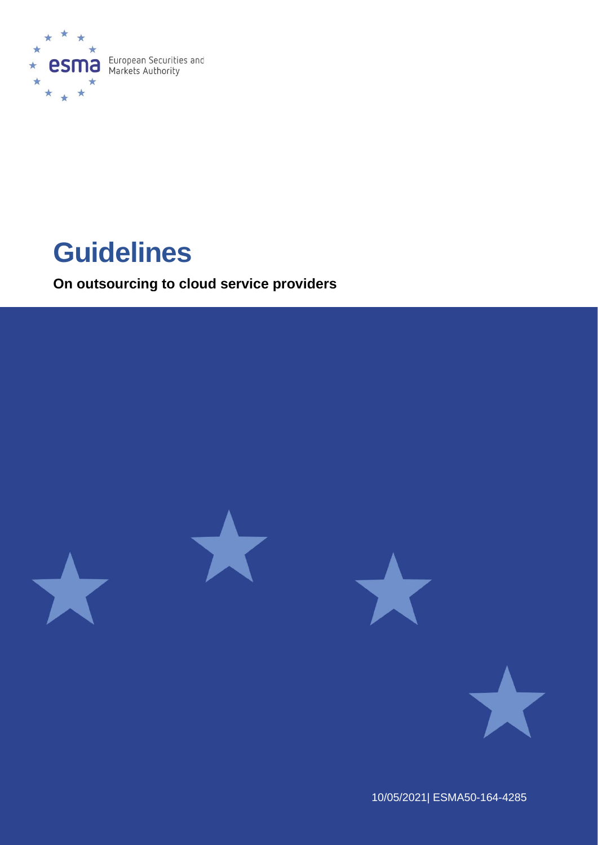

# **Guidelines**

**On outsourcing to cloud service providers**



10/05/2021| ESMA50-164-4285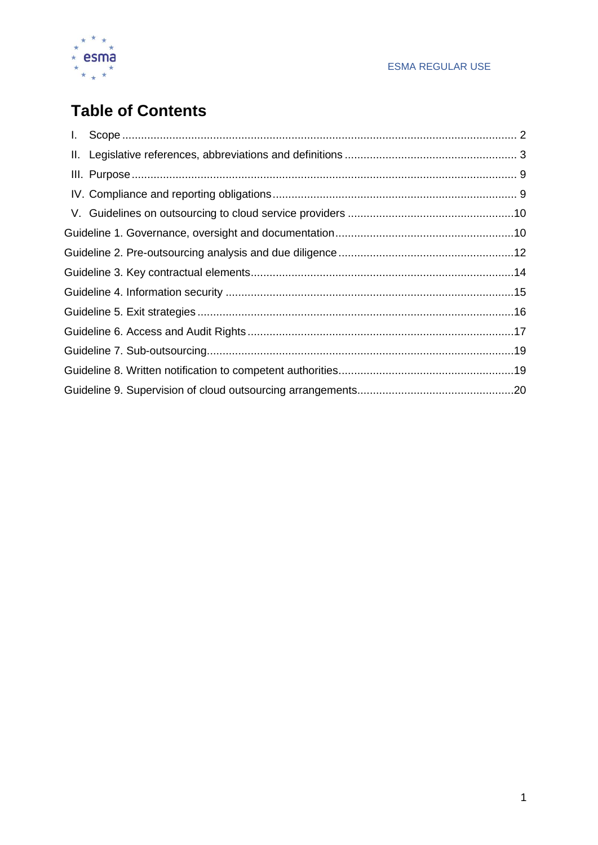

# **Table of Contents**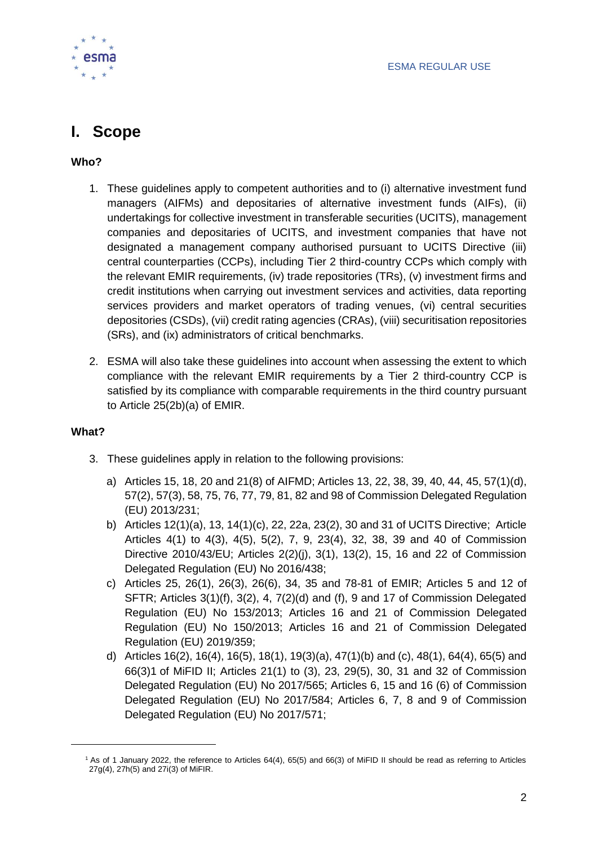

# <span id="page-2-0"></span>**I. Scope**

#### **Who?**

- 1. These guidelines apply to competent authorities and to (i) alternative investment fund managers (AIFMs) and depositaries of alternative investment funds (AIFs), (ii) undertakings for collective investment in transferable securities (UCITS), management companies and depositaries of UCITS, and investment companies that have not designated a management company authorised pursuant to UCITS Directive (iii) central counterparties (CCPs), including Tier 2 third-country CCPs which comply with the relevant EMIR requirements, (iv) trade repositories (TRs), (v) investment firms and credit institutions when carrying out investment services and activities, data reporting services providers and market operators of trading venues, (vi) central securities depositories (CSDs), (vii) credit rating agencies (CRAs), (viii) securitisation repositories (SRs), and (ix) administrators of critical benchmarks.
- 2. ESMA will also take these guidelines into account when assessing the extent to which compliance with the relevant EMIR requirements by a Tier 2 third-country CCP is satisfied by its compliance with comparable requirements in the third country pursuant to Article 25(2b)(a) of EMIR.

#### **What?**

- 3. These guidelines apply in relation to the following provisions:
	- a) Articles 15, 18, 20 and 21(8) of AIFMD; Articles 13, 22, 38, 39, 40, 44, 45, 57(1)(d), 57(2), 57(3), 58, 75, 76, 77, 79, 81, 82 and 98 of Commission Delegated Regulation (EU) 2013/231;
	- b) Articles 12(1)(a), 13, 14(1)(c), 22, 22a, 23(2), 30 and 31 of UCITS Directive; Article Articles 4(1) to 4(3), 4(5), 5(2), 7, 9, 23(4), 32, 38, 39 and 40 of Commission Directive 2010/43/EU; Articles 2(2)(j), 3(1), 13(2), 15, 16 and 22 of Commission Delegated Regulation (EU) No 2016/438;
	- c) Articles 25, 26(1), 26(3), 26(6), 34, 35 and 78-81 of EMIR; Articles 5 and 12 of SFTR; Articles 3(1)(f), 3(2), 4, 7(2)(d) and (f), 9 and 17 of Commission Delegated Regulation (EU) No 153/2013; Articles 16 and 21 of Commission Delegated Regulation (EU) No 150/2013; Articles 16 and 21 of Commission Delegated Regulation (EU) 2019/359;
	- d) Articles 16(2), 16(4), 16(5), 18(1), 19(3)(a), 47(1)(b) and (c), 48(1), 64(4), 65(5) and 66(3)1 of MiFID II; Articles 21(1) to (3), 23, 29(5), 30, 31 and 32 of Commission Delegated Regulation (EU) No 2017/565; Articles 6, 15 and 16 (6) of [Commission](https://eur-lex.europa.eu/legal-content/EN/TXT/PDF/?uri=CELEX:32017R0584&from=EN)  [Delegated Regulation \(EU\) No 2017/584;](https://eur-lex.europa.eu/legal-content/EN/TXT/PDF/?uri=CELEX:32017R0584&from=EN) Articles 6, 7, 8 and 9 of Commission Delegated Regulation (EU) No 2017/571;

<sup>1</sup> As of 1 January 2022, the reference to Articles 64(4), 65(5) and 66(3) of MiFID II should be read as referring to Articles 27g(4), 27h(5) and 27i(3) of MiFIR.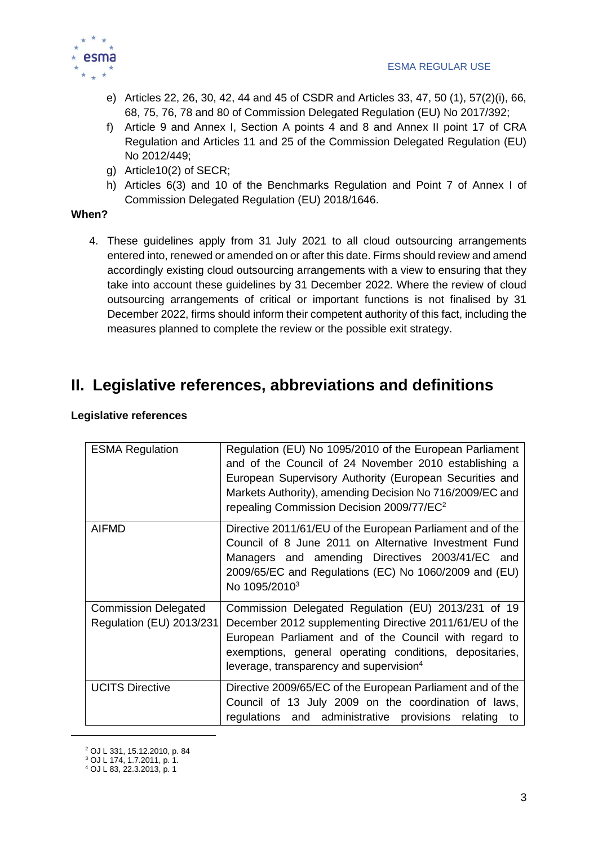

- e) Articles 22, 26, 30, 42, 44 and 45 of CSDR and Articles 33, 47, 50 (1), 57(2)(i), 66, 68, 75, 76, 78 and 80 of Commission Delegated Regulation (EU) No 2017/392;
- f) Article 9 and Annex I, Section A points 4 and 8 and Annex II point 17 of CRA Regulation and Articles 11 and 25 of the Commission Delegated Regulation (EU) No 2012/449;
- g) Article10(2) of SECR;
- h) Articles 6(3) and 10 of the Benchmarks Regulation and Point 7 of Annex I of Commission Delegated Regulation (EU) 2018/1646.

#### **When?**

4. These guidelines apply from 31 July 2021 to all cloud outsourcing arrangements entered into, renewed or amended on or after this date. Firms should review and amend accordingly existing cloud outsourcing arrangements with a view to ensuring that they take into account these guidelines by 31 December 2022. Where the review of cloud outsourcing arrangements of critical or important functions is not finalised by 31 December 2022, firms should inform their competent authority of this fact, including the measures planned to complete the review or the possible exit strategy.

# <span id="page-3-0"></span>**II. Legislative references, abbreviations and definitions**

| <b>ESMA Regulation</b>                                  | Regulation (EU) No 1095/2010 of the European Parliament<br>and of the Council of 24 November 2010 establishing a<br>European Supervisory Authority (European Securities and<br>Markets Authority), amending Decision No 716/2009/EC and<br>repealing Commission Decision 2009/77/EC <sup>2</sup> |
|---------------------------------------------------------|--------------------------------------------------------------------------------------------------------------------------------------------------------------------------------------------------------------------------------------------------------------------------------------------------|
| <b>AIFMD</b>                                            | Directive 2011/61/EU of the European Parliament and of the<br>Council of 8 June 2011 on Alternative Investment Fund<br>Managers and amending Directives 2003/41/EC and<br>2009/65/EC and Regulations (EC) No 1060/2009 and (EU)<br>No 1095/2010 <sup>3</sup>                                     |
| <b>Commission Delegated</b><br>Regulation (EU) 2013/231 | Commission Delegated Regulation (EU) 2013/231 of 19<br>December 2012 supplementing Directive 2011/61/EU of the<br>European Parliament and of the Council with regard to<br>exemptions, general operating conditions, depositaries,<br>leverage, transparency and supervision <sup>4</sup>        |
| <b>UCITS Directive</b>                                  | Directive 2009/65/EC of the European Parliament and of the<br>Council of 13 July 2009 on the coordination of laws,<br>regulations and administrative provisions relating<br>to                                                                                                                   |

#### **Legislative references**

<sup>2</sup> OJ L 331, 15.12.2010, p. 84

<sup>3</sup> OJ L 174, 1.7.2011, p. 1.

<sup>4</sup> OJ L 83, 22.3.2013, p. 1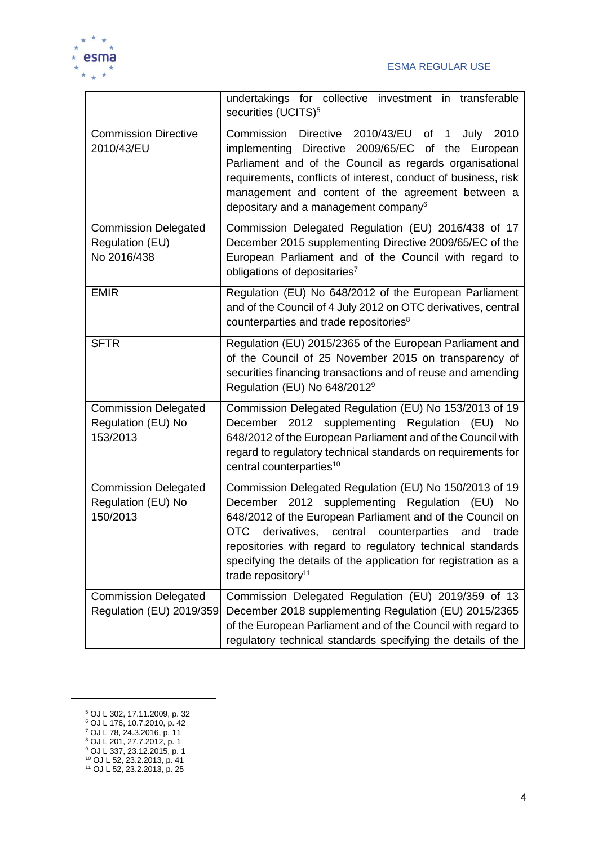

|                                                               | undertakings for collective investment in transferable<br>securities (UCITS) <sup>5</sup>                                                                                                                                                                                                                                                                                                        |
|---------------------------------------------------------------|--------------------------------------------------------------------------------------------------------------------------------------------------------------------------------------------------------------------------------------------------------------------------------------------------------------------------------------------------------------------------------------------------|
| <b>Commission Directive</b><br>2010/43/EU                     | Commission Directive 2010/43/EU of 1<br>July 2010<br>implementing Directive 2009/65/EC of the<br>European<br>Parliament and of the Council as regards organisational<br>requirements, conflicts of interest, conduct of business, risk<br>management and content of the agreement between a<br>depositary and a management company <sup>6</sup>                                                  |
| <b>Commission Delegated</b><br>Regulation (EU)<br>No 2016/438 | Commission Delegated Regulation (EU) 2016/438 of 17<br>December 2015 supplementing Directive 2009/65/EC of the<br>European Parliament and of the Council with regard to<br>obligations of depositaries <sup>7</sup>                                                                                                                                                                              |
| <b>EMIR</b>                                                   | Regulation (EU) No 648/2012 of the European Parliament<br>and of the Council of 4 July 2012 on OTC derivatives, central<br>counterparties and trade repositories <sup>8</sup>                                                                                                                                                                                                                    |
| <b>SFTR</b>                                                   | Regulation (EU) 2015/2365 of the European Parliament and<br>of the Council of 25 November 2015 on transparency of<br>securities financing transactions and of reuse and amending<br>Regulation (EU) No 648/2012 <sup>9</sup>                                                                                                                                                                     |
| <b>Commission Delegated</b><br>Regulation (EU) No<br>153/2013 | Commission Delegated Regulation (EU) No 153/2013 of 19<br>December 2012 supplementing Regulation (EU) No<br>648/2012 of the European Parliament and of the Council with<br>regard to regulatory technical standards on requirements for<br>central counterparties <sup>10</sup>                                                                                                                  |
| <b>Commission Delegated</b><br>Regulation (EU) No<br>150/2013 | Commission Delegated Regulation (EU) No 150/2013 of 19<br>December 2012 supplementing Regulation (EU) No<br>648/2012 of the European Parliament and of the Council on<br>OTC derivatives, central counterparties and<br>trade<br>repositories with regard to regulatory technical standards<br>specifying the details of the application for registration as a<br>trade repository <sup>11</sup> |
| <b>Commission Delegated</b><br>Regulation (EU) 2019/359       | Commission Delegated Regulation (EU) 2019/359 of 13<br>December 2018 supplementing Regulation (EU) 2015/2365<br>of the European Parliament and of the Council with regard to<br>regulatory technical standards specifying the details of the                                                                                                                                                     |

<sup>8</sup> OJ L 201, 27.7.2012, p. 1 <sup>9</sup> OJ L 337, 23.12.2015, p. 1

<sup>5</sup> OJ L 302, 17.11.2009, p. 32

<sup>6</sup> OJ L 176, 10.7.2010, p. 42

<sup>7</sup> OJ L 78, 24.3.2016, p. 11

<sup>10</sup> OJ L 52, 23.2.2013, p. 41

<sup>11</sup> OJ L 52, 23.2.2013, p. 25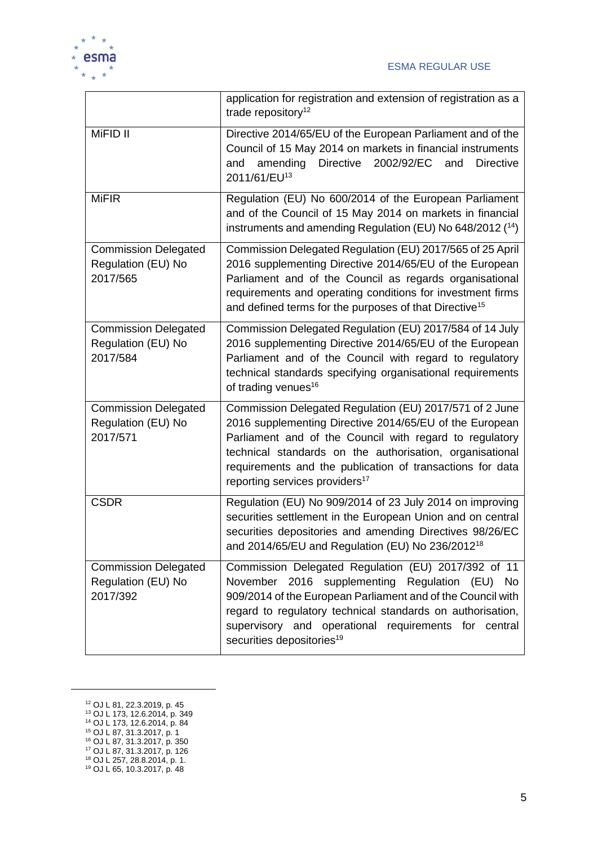

|                                                               | application for registration and extension of registration as a<br>trade repository <sup>12</sup>                                                                                                                                                                                                                                                    |
|---------------------------------------------------------------|------------------------------------------------------------------------------------------------------------------------------------------------------------------------------------------------------------------------------------------------------------------------------------------------------------------------------------------------------|
| MiFID II                                                      | Directive 2014/65/EU of the European Parliament and of the<br>Council of 15 May 2014 on markets in financial instruments<br>amending<br>Directive<br>2002/92/EC<br>and<br><b>Directive</b><br>and<br>2011/61/EU <sup>13</sup>                                                                                                                        |
| <b>MiFIR</b>                                                  | Regulation (EU) No 600/2014 of the European Parliament<br>and of the Council of 15 May 2014 on markets in financial<br>instruments and amending Regulation (EU) No 648/2012 ( <sup>14</sup> )                                                                                                                                                        |
| <b>Commission Delegated</b><br>Regulation (EU) No<br>2017/565 | Commission Delegated Regulation (EU) 2017/565 of 25 April<br>2016 supplementing Directive 2014/65/EU of the European<br>Parliament and of the Council as regards organisational<br>requirements and operating conditions for investment firms<br>and defined terms for the purposes of that Directive <sup>15</sup>                                  |
| <b>Commission Delegated</b><br>Regulation (EU) No<br>2017/584 | Commission Delegated Regulation (EU) 2017/584 of 14 July<br>2016 supplementing Directive 2014/65/EU of the European<br>Parliament and of the Council with regard to regulatory<br>technical standards specifying organisational requirements<br>of trading venues <sup>16</sup>                                                                      |
| <b>Commission Delegated</b><br>Regulation (EU) No<br>2017/571 | Commission Delegated Regulation (EU) 2017/571 of 2 June<br>2016 supplementing Directive 2014/65/EU of the European<br>Parliament and of the Council with regard to regulatory<br>technical standards on the authorisation, organisational<br>requirements and the publication of transactions for data<br>reporting services providers <sup>17</sup> |
| <b>CSDR</b>                                                   | Regulation (EU) No 909/2014 of 23 July 2014 on improving<br>securities settlement in the European Union and on central<br>securities depositories and amending Directives 98/26/EC<br>and 2014/65/EU and Regulation (EU) No 236/2012 <sup>18</sup>                                                                                                   |
| <b>Commission Delegated</b><br>Regulation (EU) No<br>2017/392 | Commission Delegated Regulation (EU) 2017/392 of 11<br>2016 supplementing Regulation (EU) No<br>November<br>909/2014 of the European Parliament and of the Council with<br>regard to regulatory technical standards on authorisation,<br>supervisory and operational requirements for central<br>securities depositories <sup>19</sup>               |

<sup>12</sup> OJ L 81, 22.3.2019, p. 45

<sup>13</sup> OJ L 173, 12.6.2014, p. 349 <sup>14</sup> OJ L 173, 12.6.2014, p. 84

<sup>15</sup> OJ L 87, 31.3.2017, p. 1

<sup>16</sup> OJ L 87, 31.3.2017, p. 350

<sup>17</sup> OJ L 87, 31.3.2017, p. 126

<sup>18</sup> OJ L 257, 28.8.2014, p. 1. <sup>19</sup> OJ L 65, 10.3.2017, p. 48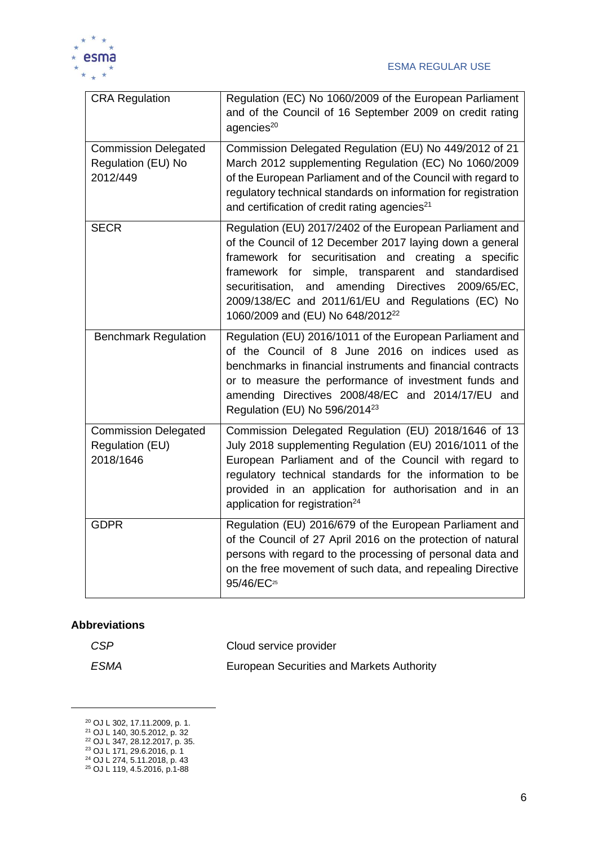

| <b>CRA Regulation</b>                                         | Regulation (EC) No 1060/2009 of the European Parliament<br>and of the Council of 16 September 2009 on credit rating<br>agencies <sup>20</sup>                                                                                                                                                                                                                                                               |
|---------------------------------------------------------------|-------------------------------------------------------------------------------------------------------------------------------------------------------------------------------------------------------------------------------------------------------------------------------------------------------------------------------------------------------------------------------------------------------------|
| <b>Commission Delegated</b><br>Regulation (EU) No<br>2012/449 | Commission Delegated Regulation (EU) No 449/2012 of 21<br>March 2012 supplementing Regulation (EC) No 1060/2009<br>of the European Parliament and of the Council with regard to<br>regulatory technical standards on information for registration<br>and certification of credit rating agencies <sup>21</sup>                                                                                              |
| <b>SECR</b>                                                   | Regulation (EU) 2017/2402 of the European Parliament and<br>of the Council of 12 December 2017 laying down a general<br>framework for securitisation and creating a<br>specific<br>framework for<br>simple, transparent and standardised<br>and amending Directives<br>securitisation,<br>2009/65/EC.<br>2009/138/EC and 2011/61/EU and Regulations (EC) No<br>1060/2009 and (EU) No 648/2012 <sup>22</sup> |
| <b>Benchmark Regulation</b>                                   | Regulation (EU) 2016/1011 of the European Parliament and<br>of the Council of 8 June 2016 on indices used as<br>benchmarks in financial instruments and financial contracts<br>or to measure the performance of investment funds and<br>amending Directives 2008/48/EC and 2014/17/EU and<br>Regulation (EU) No 596/2014 <sup>23</sup>                                                                      |
| <b>Commission Delegated</b><br>Regulation (EU)<br>2018/1646   | Commission Delegated Regulation (EU) 2018/1646 of 13<br>July 2018 supplementing Regulation (EU) 2016/1011 of the<br>European Parliament and of the Council with regard to<br>regulatory technical standards for the information to be<br>provided in an application for authorisation and in an<br>application for registration <sup>24</sup>                                                               |
| <b>GDPR</b>                                                   | Regulation (EU) 2016/679 of the European Parliament and<br>of the Council of 27 April 2016 on the protection of natural<br>persons with regard to the processing of personal data and<br>on the free movement of such data, and repealing Directive<br>95/46/EC <sup>25</sup>                                                                                                                               |

#### **Abbreviations**

| <b>CSP</b> | Cloud service provider                    |
|------------|-------------------------------------------|
| ESMA       | European Securities and Markets Authority |

<sup>20</sup> OJ L 302, 17.11.2009, p. 1.

<sup>21</sup> OJ L 140, 30.5.2012, p. 32

<sup>22</sup> OJ L 347, 28.12.2017, p. 35. <sup>23</sup> OJ L 171, 29.6.2016, p. 1

<sup>24</sup> OJ L 274, 5.11.2018, p. 43

<sup>25</sup> OJ L 119, 4.5.2016, p.1-88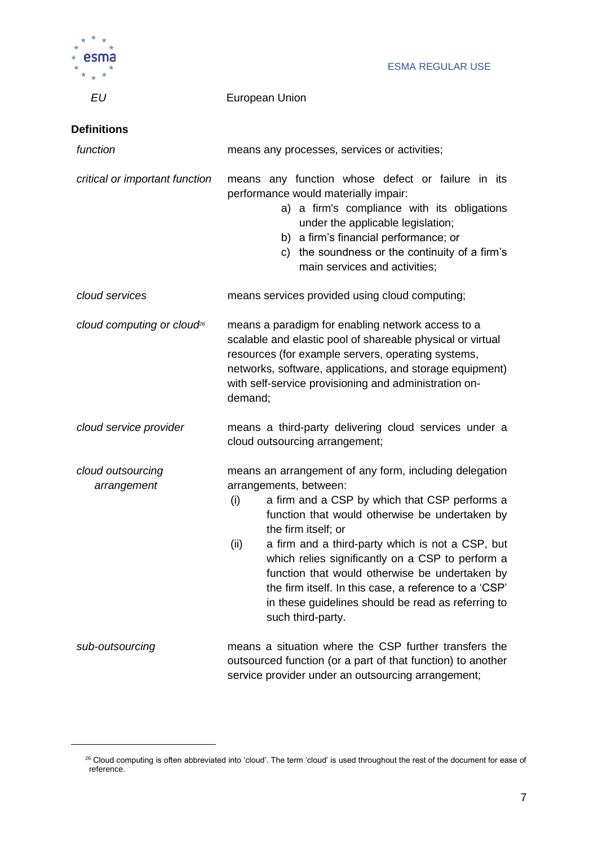

*EU* European Union

#### **Definitions**

| function                               | means any processes, services or activities;                                                                                                                                                                                                                                                                                                                                                                                                                                                                            |
|----------------------------------------|-------------------------------------------------------------------------------------------------------------------------------------------------------------------------------------------------------------------------------------------------------------------------------------------------------------------------------------------------------------------------------------------------------------------------------------------------------------------------------------------------------------------------|
| critical or important function         | means any function whose defect or failure in its<br>performance would materially impair:<br>a) a firm's compliance with its obligations<br>under the applicable legislation;<br>b) a firm's financial performance; or<br>c) the soundness or the continuity of a firm's<br>main services and activities;                                                                                                                                                                                                               |
| cloud services                         | means services provided using cloud computing;                                                                                                                                                                                                                                                                                                                                                                                                                                                                          |
| cloud computing or cloud <sup>t6</sup> | means a paradigm for enabling network access to a<br>scalable and elastic pool of shareable physical or virtual<br>resources (for example servers, operating systems,<br>networks, software, applications, and storage equipment)<br>with self-service provisioning and administration on-<br>demand;                                                                                                                                                                                                                   |
| cloud service provider                 | means a third-party delivering cloud services under a<br>cloud outsourcing arrangement;                                                                                                                                                                                                                                                                                                                                                                                                                                 |
| cloud outsourcing<br>arrangement       | means an arrangement of any form, including delegation<br>arrangements, between:<br>a firm and a CSP by which that CSP performs a<br>(i)<br>function that would otherwise be undertaken by<br>the firm itself; or<br>a firm and a third-party which is not a CSP, but<br>(ii)<br>which relies significantly on a CSP to perform a<br>function that would otherwise be undertaken by<br>the firm itself. In this case, a reference to a 'CSP'<br>in these guidelines should be read as referring to<br>such third-party. |
| sub-outsourcing                        | means a situation where the CSP further transfers the<br>outsourced function (or a part of that function) to another<br>service provider under an outsourcing arrangement;                                                                                                                                                                                                                                                                                                                                              |

 $^{26}$  Cloud computing is often abbreviated into 'cloud'. The term 'cloud' is used throughout the rest of the document for ease of reference.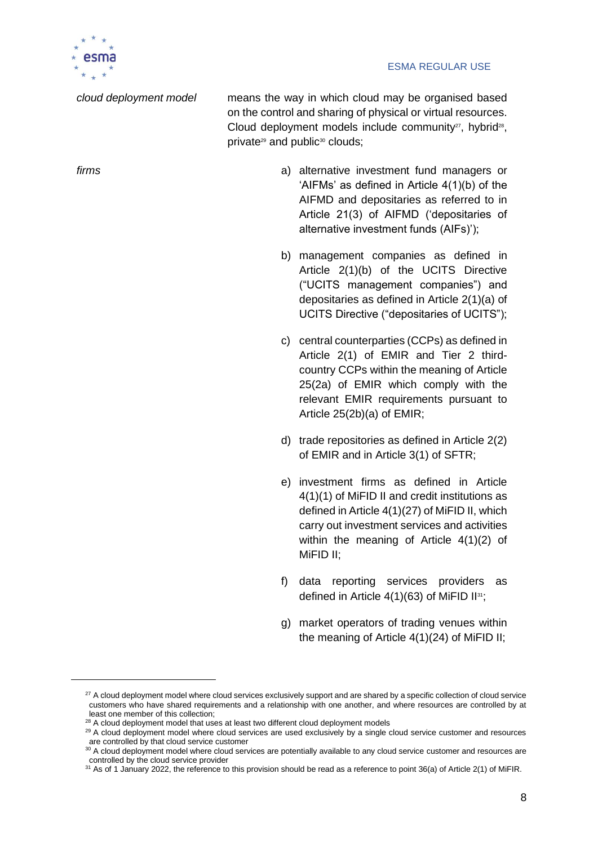

*cloud deployment model* means the way in which cloud may be organised based on the control and sharing of physical or virtual resources. Cloud deployment models include community<sup>27</sup>, hybrid<sup>28</sup>, private<sup>29</sup> and public<sup>30</sup> clouds;

- *firms* a) alternative investment fund managers or 'AIFMs' as defined in Article 4(1)(b) of the AIFMD and depositaries as referred to in Article 21(3) of AIFMD ('depositaries of alternative investment funds (AIFs)');
	- b) management companies as defined in Article 2(1)(b) of the UCITS Directive ("UCITS management companies") and depositaries as defined in Article 2(1)(a) of UCITS Directive ("depositaries of UCITS");
	- c) central counterparties (CCPs) as defined in Article 2(1) of EMIR and Tier 2 thirdcountry CCPs within the meaning of Article 25(2a) of EMIR which comply with the relevant EMIR requirements pursuant to Article 25(2b)(a) of EMIR;
	- d) trade repositories as defined in Article 2(2) of EMIR and in Article 3(1) of SFTR;
	- e) investment firms as defined in Article 4(1)(1) of MiFID II and credit institutions as defined in Article 4(1)(27) of MiFID II, which carry out investment services and activities within the meaning of Article 4(1)(2) of MiFID II;
	- f) data reporting services providers as defined in Article 4(1)(63) of MiFID II31;
	- g) market operators of trading venues within the meaning of Article 4(1)(24) of MiFID II;

<sup>&</sup>lt;sup>27</sup> A cloud deployment model where cloud services exclusively support and are shared by a specific collection of cloud service customers who have shared requirements and a relationship with one another, and where resources are controlled by at least one member of this collection;

<sup>&</sup>lt;sup>28</sup> A cloud deployment model that uses at least two different cloud deployment models

<sup>&</sup>lt;sup>29</sup> A cloud deployment model where cloud services are used exclusively by a single cloud service customer and resources are controlled by that cloud service customer

<sup>&</sup>lt;sup>30</sup> A cloud deployment model where cloud services are potentially available to any cloud service customer and resources are controlled by the cloud service provider

<sup>31</sup> As of 1 January 2022, the reference to this provision should be read as a reference to point 36(a) of Article 2(1) of MiFIR.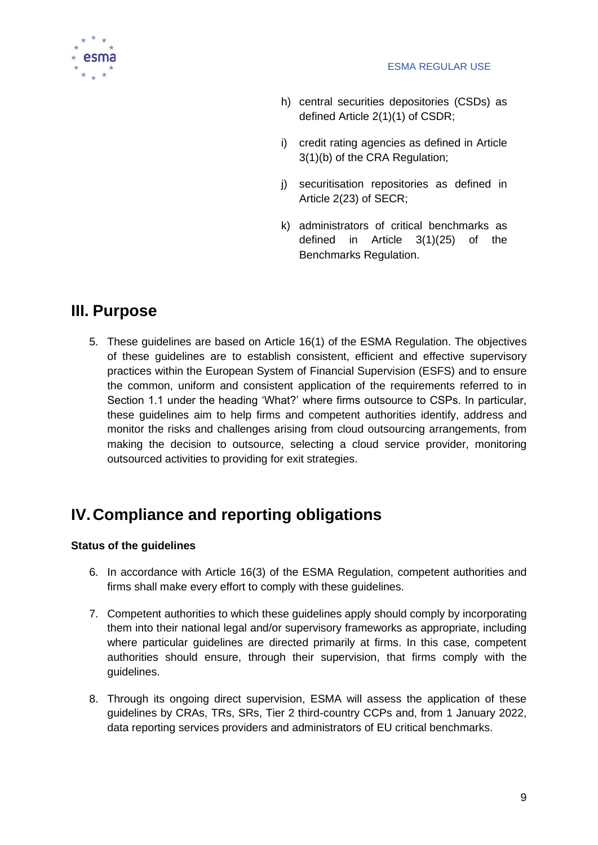

- h) central securities depositories (CSDs) as defined Article 2(1)(1) of CSDR;
- i) credit rating agencies as defined in Article 3(1)(b) of the CRA Regulation;
- j) securitisation repositories as defined in Article 2(23) of SECR;
- k) administrators of critical benchmarks as defined in Article 3(1)(25) of the Benchmarks Regulation.

# <span id="page-9-0"></span>**III. Purpose**

5. These guidelines are based on Article 16(1) of the ESMA Regulation. The objectives of these guidelines are to establish consistent, efficient and effective supervisory practices within the European System of Financial Supervision (ESFS) and to ensure the common, uniform and consistent application of the requirements referred to in Section 1.1 under the heading 'What?' where firms outsource to CSPs. In particular, these guidelines aim to help firms and competent authorities identify, address and monitor the risks and challenges arising from cloud outsourcing arrangements, from making the decision to outsource, selecting a cloud service provider, monitoring outsourced activities to providing for exit strategies.

# <span id="page-9-1"></span>**IV.Compliance and reporting obligations**

#### **Status of the guidelines**

- 6. In accordance with Article 16(3) of the ESMA Regulation, competent authorities and firms shall make every effort to comply with these guidelines.
- 7. Competent authorities to which these guidelines apply should comply by incorporating them into their national legal and/or supervisory frameworks as appropriate, including where particular guidelines are directed primarily at firms. In this case, competent authorities should ensure, through their supervision, that firms comply with the guidelines.
- 8. Through its ongoing direct supervision, ESMA will assess the application of these guidelines by CRAs, TRs, SRs, Tier 2 third-country CCPs and, from 1 January 2022, data reporting services providers and administrators of EU critical benchmarks.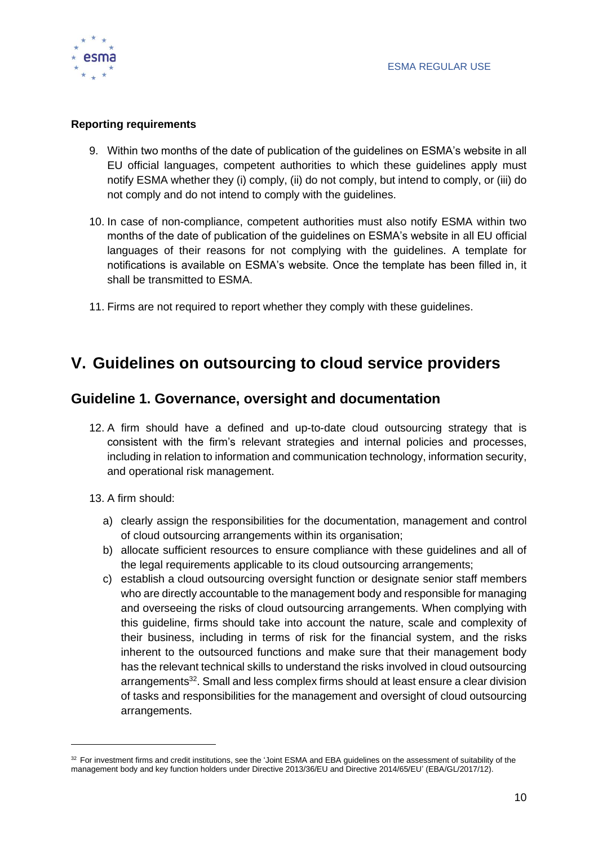

#### **Reporting requirements**

- 9. Within two months of the date of publication of the guidelines on ESMA's website in all EU official languages, competent authorities to which these guidelines apply must notify ESMA whether they (i) comply, (ii) do not comply, but intend to comply, or (iii) do not comply and do not intend to comply with the guidelines.
- 10. In case of non-compliance, competent authorities must also notify ESMA within two months of the date of publication of the guidelines on ESMA's website in all EU official languages of their reasons for not complying with the guidelines. A template for notifications is available on ESMA's website. Once the template has been filled in, it shall be transmitted to ESMA.
- 11. Firms are not required to report whether they comply with these guidelines.

# <span id="page-10-0"></span>**V. Guidelines on outsourcing to cloud service providers**

### <span id="page-10-1"></span>**Guideline 1. Governance, oversight and documentation**

- 12. A firm should have a defined and up-to-date cloud outsourcing strategy that is consistent with the firm's relevant strategies and internal policies and processes, including in relation to information and communication technology, information security, and operational risk management.
- 13. A firm should:
	- a) clearly assign the responsibilities for the documentation, management and control of cloud outsourcing arrangements within its organisation;
	- b) allocate sufficient resources to ensure compliance with these guidelines and all of the legal requirements applicable to its cloud outsourcing arrangements;
	- c) establish a cloud outsourcing oversight function or designate senior staff members who are directly accountable to the management body and responsible for managing and overseeing the risks of cloud outsourcing arrangements. When complying with this guideline, firms should take into account the nature, scale and complexity of their business, including in terms of risk for the financial system, and the risks inherent to the outsourced functions and make sure that their management body has the relevant technical skills to understand the risks involved in cloud outsourcing arrangements<sup>32</sup>. Small and less complex firms should at least ensure a clear division of tasks and responsibilities for the management and oversight of cloud outsourcing arrangements.

 $32$  For investment firms and credit institutions, see the 'Joint ESMA and EBA guidelines on the assessment of suitability of the management body and key function holders under Directive 2013/36/EU and Directive 2014/65/EU' (EBA/GL/2017/12).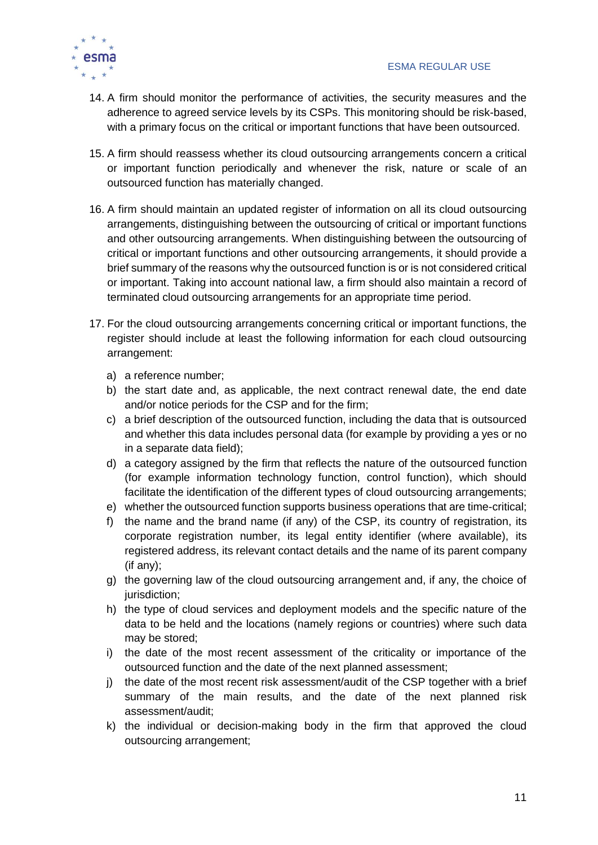

- 14. A firm should monitor the performance of activities, the security measures and the adherence to agreed service levels by its CSPs. This monitoring should be risk-based, with a primary focus on the critical or important functions that have been outsourced.
- 15. A firm should reassess whether its cloud outsourcing arrangements concern a critical or important function periodically and whenever the risk, nature or scale of an outsourced function has materially changed.
- 16. A firm should maintain an updated register of information on all its cloud outsourcing arrangements, distinguishing between the outsourcing of critical or important functions and other outsourcing arrangements. When distinguishing between the outsourcing of critical or important functions and other outsourcing arrangements, it should provide a brief summary of the reasons why the outsourced function is or is not considered critical or important. Taking into account national law, a firm should also maintain a record of terminated cloud outsourcing arrangements for an appropriate time period.
- 17. For the cloud outsourcing arrangements concerning critical or important functions, the register should include at least the following information for each cloud outsourcing arrangement:
	- a) a reference number;
	- b) the start date and, as applicable, the next contract renewal date, the end date and/or notice periods for the CSP and for the firm;
	- c) a brief description of the outsourced function, including the data that is outsourced and whether this data includes personal data (for example by providing a yes or no in a separate data field);
	- d) a category assigned by the firm that reflects the nature of the outsourced function (for example information technology function, control function), which should facilitate the identification of the different types of cloud outsourcing arrangements;
	- e) whether the outsourced function supports business operations that are time-critical;
	- f) the name and the brand name (if any) of the CSP, its country of registration, its corporate registration number, its legal entity identifier (where available), its registered address, its relevant contact details and the name of its parent company (if any);
	- g) the governing law of the cloud outsourcing arrangement and, if any, the choice of jurisdiction:
	- h) the type of cloud services and deployment models and the specific nature of the data to be held and the locations (namely regions or countries) where such data may be stored;
	- i) the date of the most recent assessment of the criticality or importance of the outsourced function and the date of the next planned assessment;
	- j) the date of the most recent risk assessment/audit of the CSP together with a brief summary of the main results, and the date of the next planned risk assessment/audit;
	- k) the individual or decision-making body in the firm that approved the cloud outsourcing arrangement;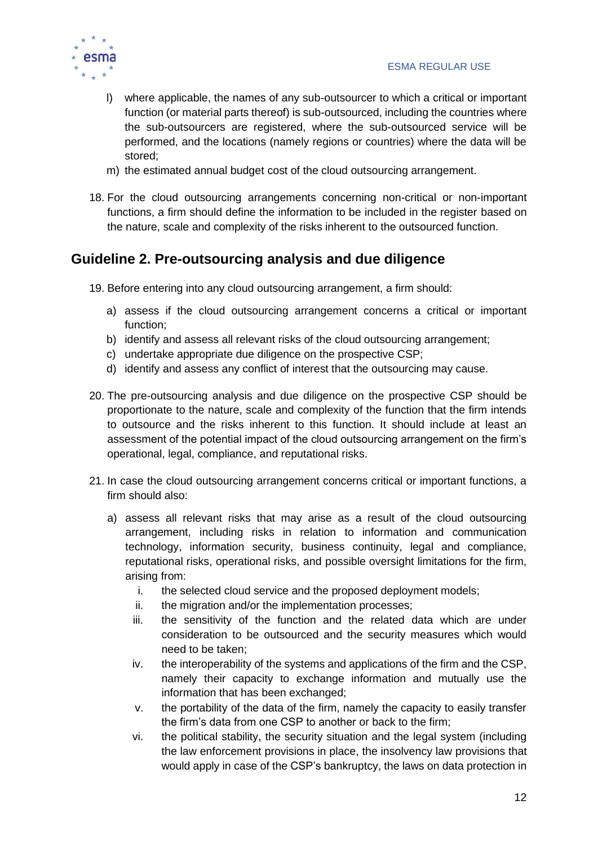

- l) where applicable, the names of any sub-outsourcer to which a critical or important function (or material parts thereof) is sub-outsourced, including the countries where the sub-outsourcers are registered, where the sub-outsourced service will be performed, and the locations (namely regions or countries) where the data will be stored;
- m) the estimated annual budget cost of the cloud outsourcing arrangement.
- 18. For the cloud outsourcing arrangements concerning non-critical or non-important functions, a firm should define the information to be included in the register based on the nature, scale and complexity of the risks inherent to the outsourced function.

# <span id="page-12-0"></span>**Guideline 2. Pre-outsourcing analysis and due diligence**

- 19. Before entering into any cloud outsourcing arrangement, a firm should:
	- a) assess if the cloud outsourcing arrangement concerns a critical or important function;
	- b) identify and assess all relevant risks of the cloud outsourcing arrangement;
	- c) undertake appropriate due diligence on the prospective CSP;
	- d) identify and assess any conflict of interest that the outsourcing may cause.
- 20. The pre-outsourcing analysis and due diligence on the prospective CSP should be proportionate to the nature, scale and complexity of the function that the firm intends to outsource and the risks inherent to this function. It should include at least an assessment of the potential impact of the cloud outsourcing arrangement on the firm's operational, legal, compliance, and reputational risks.
- 21. In case the cloud outsourcing arrangement concerns critical or important functions, a firm should also:
	- a) assess all relevant risks that may arise as a result of the cloud outsourcing arrangement, including risks in relation to information and communication technology, information security, business continuity, legal and compliance, reputational risks, operational risks, and possible oversight limitations for the firm, arising from:
		- i. the selected cloud service and the proposed deployment models;
		- ii. the migration and/or the implementation processes;
		- iii. the sensitivity of the function and the related data which are under consideration to be outsourced and the security measures which would need to be taken;
		- iv. the interoperability of the systems and applications of the firm and the CSP, namely their capacity to exchange information and mutually use the information that has been exchanged;
		- v. the portability of the data of the firm, namely the capacity to easily transfer the firm's data from one CSP to another or back to the firm;
		- vi. the political stability, the security situation and the legal system (including the law enforcement provisions in place, the insolvency law provisions that would apply in case of the CSP's bankruptcy, the laws on data protection in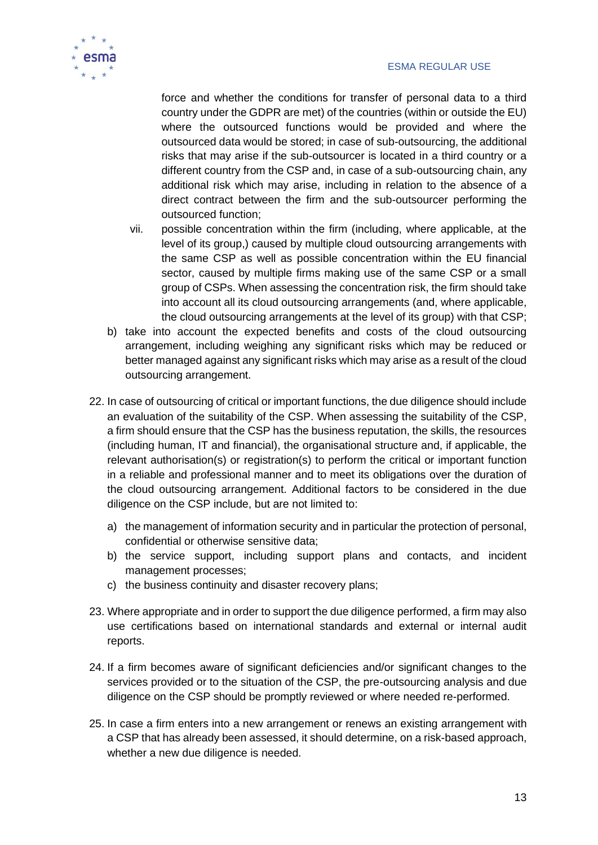

force and whether the conditions for transfer of personal data to a third country under the GDPR are met) of the countries (within or outside the EU) where the outsourced functions would be provided and where the outsourced data would be stored; in case of sub-outsourcing, the additional risks that may arise if the sub-outsourcer is located in a third country or a different country from the CSP and, in case of a sub-outsourcing chain, any additional risk which may arise, including in relation to the absence of a direct contract between the firm and the sub-outsourcer performing the outsourced function;

- vii. possible concentration within the firm (including, where applicable, at the level of its group,) caused by multiple cloud outsourcing arrangements with the same CSP as well as possible concentration within the EU financial sector, caused by multiple firms making use of the same CSP or a small group of CSPs. When assessing the concentration risk, the firm should take into account all its cloud outsourcing arrangements (and, where applicable, the cloud outsourcing arrangements at the level of its group) with that CSP;
- b) take into account the expected benefits and costs of the cloud outsourcing arrangement, including weighing any significant risks which may be reduced or better managed against any significant risks which may arise as a result of the cloud outsourcing arrangement.
- 22. In case of outsourcing of critical or important functions, the due diligence should include an evaluation of the suitability of the CSP. When assessing the suitability of the CSP, a firm should ensure that the CSP has the business reputation, the skills, the resources (including human, IT and financial), the organisational structure and, if applicable, the relevant authorisation(s) or registration(s) to perform the critical or important function in a reliable and professional manner and to meet its obligations over the duration of the cloud outsourcing arrangement. Additional factors to be considered in the due diligence on the CSP include, but are not limited to:
	- a) the management of information security and in particular the protection of personal, confidential or otherwise sensitive data;
	- b) the service support, including support plans and contacts, and incident management processes;
	- c) the business continuity and disaster recovery plans;
- 23. Where appropriate and in order to support the due diligence performed, a firm may also use certifications based on international standards and external or internal audit reports.
- 24. If a firm becomes aware of significant deficiencies and/or significant changes to the services provided or to the situation of the CSP, the pre-outsourcing analysis and due diligence on the CSP should be promptly reviewed or where needed re-performed.
- 25. In case a firm enters into a new arrangement or renews an existing arrangement with a CSP that has already been assessed, it should determine, on a risk-based approach, whether a new due diligence is needed.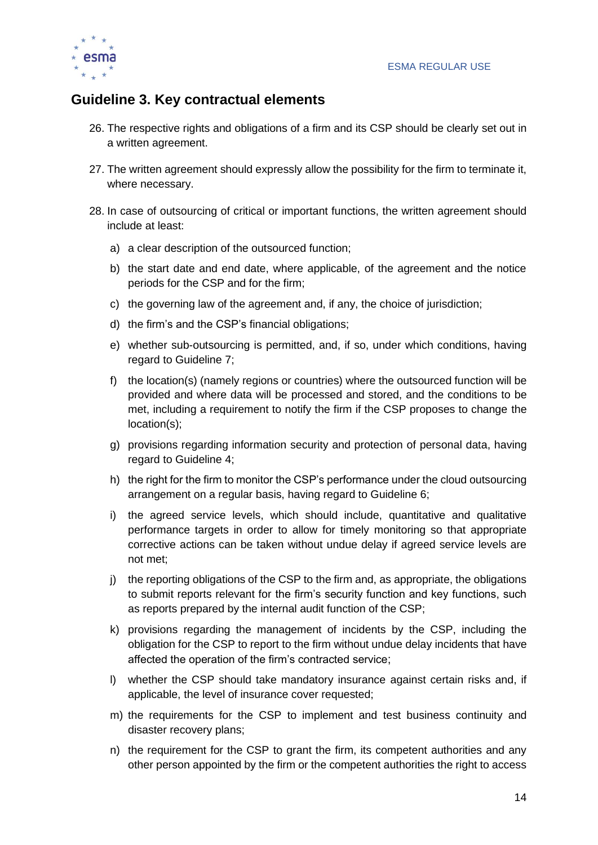

# <span id="page-14-0"></span>**Guideline 3. Key contractual elements**

- 26. The respective rights and obligations of a firm and its CSP should be clearly set out in a written agreement.
- 27. The written agreement should expressly allow the possibility for the firm to terminate it, where necessary.
- 28. In case of outsourcing of critical or important functions, the written agreement should include at least:
	- a) a clear description of the outsourced function;
	- b) the start date and end date, where applicable, of the agreement and the notice periods for the CSP and for the firm;
	- c) the governing law of the agreement and, if any, the choice of jurisdiction;
	- d) the firm's and the CSP's financial obligations;
	- e) whether sub-outsourcing is permitted, and, if so, under which conditions, having regard to Guideline 7;
	- f) the location(s) (namely regions or countries) where the outsourced function will be provided and where data will be processed and stored, and the conditions to be met, including a requirement to notify the firm if the CSP proposes to change the location(s);
	- g) provisions regarding information security and protection of personal data, having regard to Guideline 4;
	- h) the right for the firm to monitor the CSP's performance under the cloud outsourcing arrangement on a regular basis, having regard to Guideline 6;
	- i) the agreed service levels, which should include, quantitative and qualitative performance targets in order to allow for timely monitoring so that appropriate corrective actions can be taken without undue delay if agreed service levels are not met;
	- j) the reporting obligations of the CSP to the firm and, as appropriate, the obligations to submit reports relevant for the firm's security function and key functions, such as reports prepared by the internal audit function of the CSP;
	- k) provisions regarding the management of incidents by the CSP, including the obligation for the CSP to report to the firm without undue delay incidents that have affected the operation of the firm's contracted service;
	- l) whether the CSP should take mandatory insurance against certain risks and, if applicable, the level of insurance cover requested;
	- m) the requirements for the CSP to implement and test business continuity and disaster recovery plans;
	- n) the requirement for the CSP to grant the firm, its competent authorities and any other person appointed by the firm or the competent authorities the right to access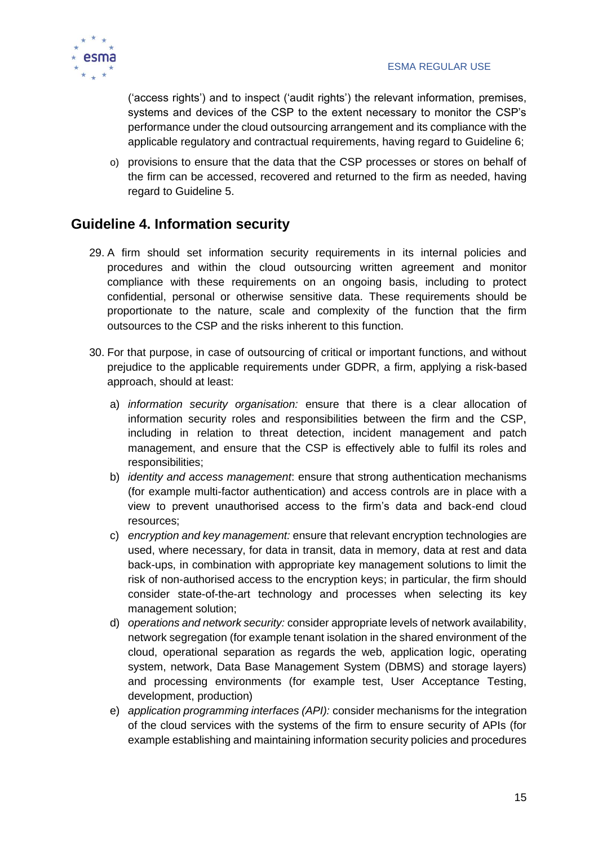

('access rights') and to inspect ('audit rights') the relevant information, premises, systems and devices of the CSP to the extent necessary to monitor the CSP's performance under the cloud outsourcing arrangement and its compliance with the applicable regulatory and contractual requirements, having regard to Guideline 6;

o) provisions to ensure that the data that the CSP processes or stores on behalf of the firm can be accessed, recovered and returned to the firm as needed, having regard to Guideline 5.

# <span id="page-15-0"></span>**Guideline 4. Information security**

- 29. A firm should set information security requirements in its internal policies and procedures and within the cloud outsourcing written agreement and monitor compliance with these requirements on an ongoing basis, including to protect confidential, personal or otherwise sensitive data. These requirements should be proportionate to the nature, scale and complexity of the function that the firm outsources to the CSP and the risks inherent to this function.
- 30. For that purpose, in case of outsourcing of critical or important functions, and without prejudice to the applicable requirements under GDPR, a firm, applying a risk-based approach, should at least:
	- a) *information security organisation:* ensure that there is a clear allocation of information security roles and responsibilities between the firm and the CSP, including in relation to threat detection, incident management and patch management, and ensure that the CSP is effectively able to fulfil its roles and responsibilities;
	- b) *identity and access management*: ensure that strong authentication mechanisms (for example multi-factor authentication) and access controls are in place with a view to prevent unauthorised access to the firm's data and back-end cloud resources;
	- c) *encryption and key management:* ensure that relevant encryption technologies are used, where necessary, for data in transit, data in memory, data at rest and data back-ups, in combination with appropriate key management solutions to limit the risk of non-authorised access to the encryption keys; in particular, the firm should consider state-of-the-art technology and processes when selecting its key management solution;
	- d) *operations and network security:* consider appropriate levels of network availability, network segregation (for example tenant isolation in the shared environment of the cloud, operational separation as regards the web, application logic, operating system, network, Data Base Management System (DBMS) and storage layers) and processing environments (for example test, User Acceptance Testing, development, production)
	- e) *application programming interfaces (API):* consider mechanisms for the integration of the cloud services with the systems of the firm to ensure security of APIs (for example establishing and maintaining information security policies and procedures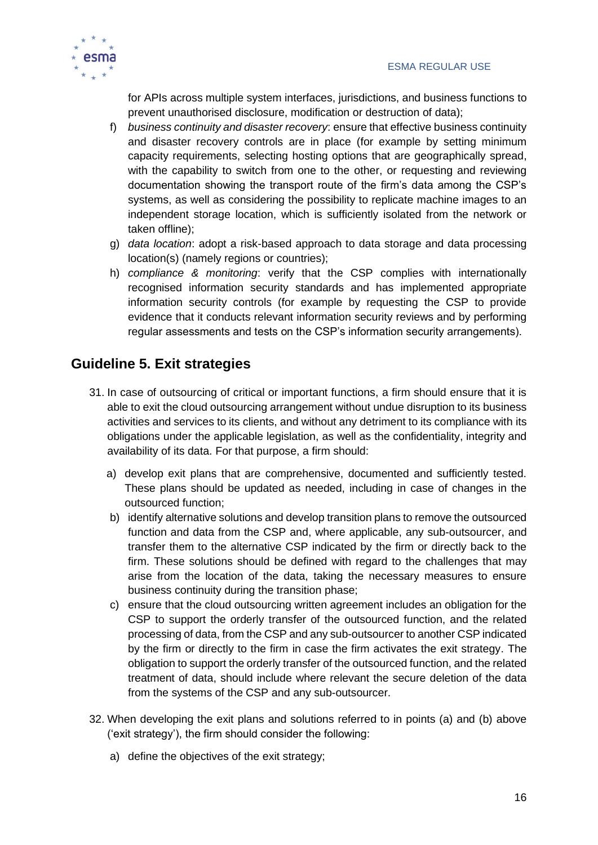

for APIs across multiple system interfaces, jurisdictions, and business functions to prevent unauthorised disclosure, modification or destruction of data);

- f) *business continuity and disaster recovery*: ensure that effective business continuity and disaster recovery controls are in place (for example by setting minimum capacity requirements, selecting hosting options that are geographically spread, with the capability to switch from one to the other, or requesting and reviewing documentation showing the transport route of the firm's data among the CSP's systems, as well as considering the possibility to replicate machine images to an independent storage location, which is sufficiently isolated from the network or taken offline);
- g) *data location*: adopt a risk-based approach to data storage and data processing location(s) (namely regions or countries);
- h) *compliance & monitoring*: verify that the CSP complies with internationally recognised information security standards and has implemented appropriate information security controls (for example by requesting the CSP to provide evidence that it conducts relevant information security reviews and by performing regular assessments and tests on the CSP's information security arrangements).

# <span id="page-16-0"></span>**Guideline 5. Exit strategies**

- 31. In case of outsourcing of critical or important functions, a firm should ensure that it is able to exit the cloud outsourcing arrangement without undue disruption to its business activities and services to its clients, and without any detriment to its compliance with its obligations under the applicable legislation, as well as the confidentiality, integrity and availability of its data. For that purpose, a firm should:
	- a) develop exit plans that are comprehensive, documented and sufficiently tested. These plans should be updated as needed, including in case of changes in the outsourced function;
	- b) identify alternative solutions and develop transition plans to remove the outsourced function and data from the CSP and, where applicable, any sub-outsourcer, and transfer them to the alternative CSP indicated by the firm or directly back to the firm. These solutions should be defined with regard to the challenges that may arise from the location of the data, taking the necessary measures to ensure business continuity during the transition phase;
	- c) ensure that the cloud outsourcing written agreement includes an obligation for the CSP to support the orderly transfer of the outsourced function, and the related processing of data, from the CSP and any sub-outsourcer to another CSP indicated by the firm or directly to the firm in case the firm activates the exit strategy. The obligation to support the orderly transfer of the outsourced function, and the related treatment of data, should include where relevant the secure deletion of the data from the systems of the CSP and any sub-outsourcer.
- 32. When developing the exit plans and solutions referred to in points (a) and (b) above ('exit strategy'), the firm should consider the following:
	- a) define the objectives of the exit strategy;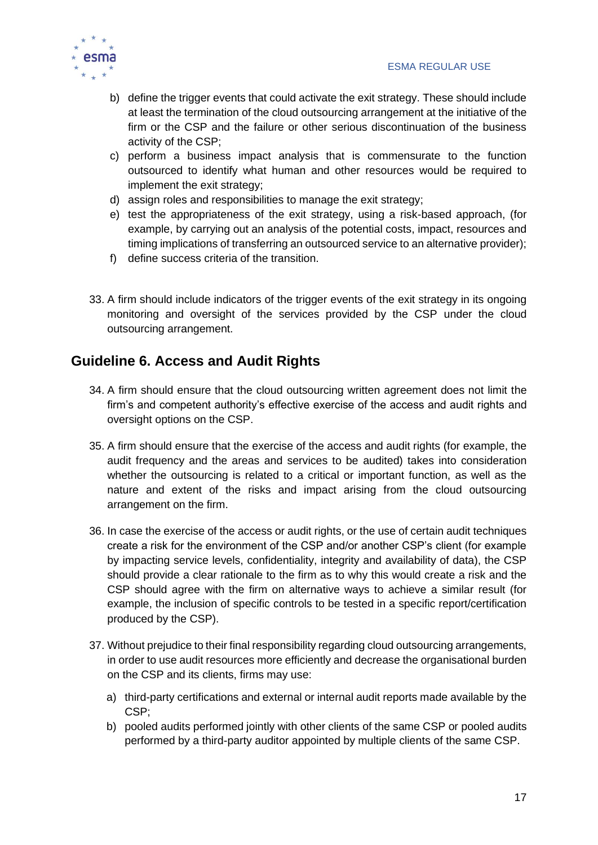

- b) define the trigger events that could activate the exit strategy. These should include at least the termination of the cloud outsourcing arrangement at the initiative of the firm or the CSP and the failure or other serious discontinuation of the business activity of the CSP;
- c) perform a business impact analysis that is commensurate to the function outsourced to identify what human and other resources would be required to implement the exit strategy;
- d) assign roles and responsibilities to manage the exit strategy;
- e) test the appropriateness of the exit strategy, using a risk-based approach, (for example, by carrying out an analysis of the potential costs, impact, resources and timing implications of transferring an outsourced service to an alternative provider);
- f) define success criteria of the transition.
- 33. A firm should include indicators of the trigger events of the exit strategy in its ongoing monitoring and oversight of the services provided by the CSP under the cloud outsourcing arrangement.

## <span id="page-17-0"></span>**Guideline 6. Access and Audit Rights**

- 34. A firm should ensure that the cloud outsourcing written agreement does not limit the firm's and competent authority's effective exercise of the access and audit rights and oversight options on the CSP.
- 35. A firm should ensure that the exercise of the access and audit rights (for example, the audit frequency and the areas and services to be audited) takes into consideration whether the outsourcing is related to a critical or important function, as well as the nature and extent of the risks and impact arising from the cloud outsourcing arrangement on the firm.
- 36. In case the exercise of the access or audit rights, or the use of certain audit techniques create a risk for the environment of the CSP and/or another CSP's client (for example by impacting service levels, confidentiality, integrity and availability of data), the CSP should provide a clear rationale to the firm as to why this would create a risk and the CSP should agree with the firm on alternative ways to achieve a similar result (for example, the inclusion of specific controls to be tested in a specific report/certification produced by the CSP).
- 37. Without prejudice to their final responsibility regarding cloud outsourcing arrangements, in order to use audit resources more efficiently and decrease the organisational burden on the CSP and its clients, firms may use:
	- a) third-party certifications and external or internal audit reports made available by the CSP;
	- b) pooled audits performed jointly with other clients of the same CSP or pooled audits performed by a third-party auditor appointed by multiple clients of the same CSP.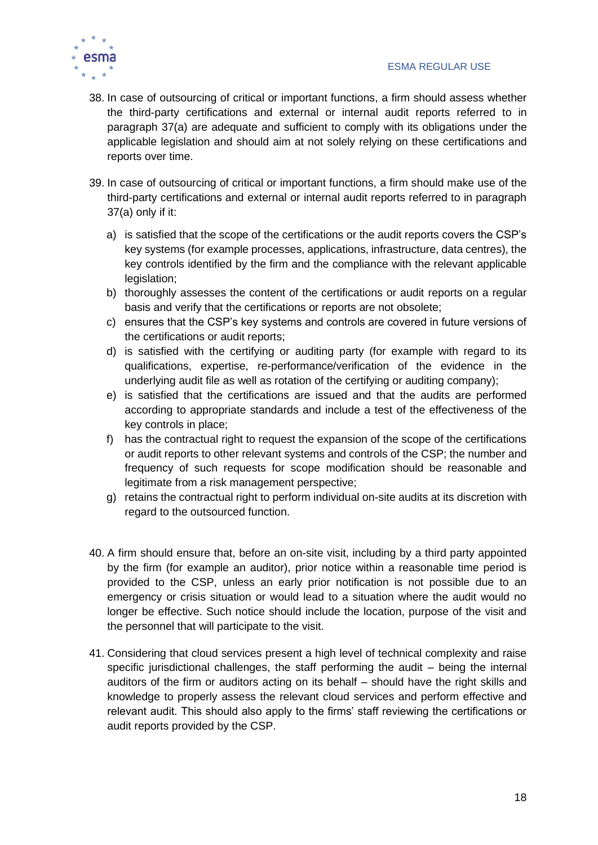

- 38. In case of outsourcing of critical or important functions, a firm should assess whether the third-party certifications and external or internal audit reports referred to in paragraph 37(a) are adequate and sufficient to comply with its obligations under the applicable legislation and should aim at not solely relying on these certifications and reports over time.
- 39. In case of outsourcing of critical or important functions, a firm should make use of the third-party certifications and external or internal audit reports referred to in paragraph 37(a) only if it:
	- a) is satisfied that the scope of the certifications or the audit reports covers the CSP's key systems (for example processes, applications, infrastructure, data centres), the key controls identified by the firm and the compliance with the relevant applicable legislation;
	- b) thoroughly assesses the content of the certifications or audit reports on a regular basis and verify that the certifications or reports are not obsolete;
	- c) ensures that the CSP's key systems and controls are covered in future versions of the certifications or audit reports;
	- d) is satisfied with the certifying or auditing party (for example with regard to its qualifications, expertise, re-performance/verification of the evidence in the underlying audit file as well as rotation of the certifying or auditing company);
	- e) is satisfied that the certifications are issued and that the audits are performed according to appropriate standards and include a test of the effectiveness of the key controls in place;
	- f) has the contractual right to request the expansion of the scope of the certifications or audit reports to other relevant systems and controls of the CSP; the number and frequency of such requests for scope modification should be reasonable and legitimate from a risk management perspective;
	- g) retains the contractual right to perform individual on-site audits at its discretion with regard to the outsourced function.
- 40. A firm should ensure that, before an on-site visit, including by a third party appointed by the firm (for example an auditor), prior notice within a reasonable time period is provided to the CSP, unless an early prior notification is not possible due to an emergency or crisis situation or would lead to a situation where the audit would no longer be effective. Such notice should include the location, purpose of the visit and the personnel that will participate to the visit.
- 41. Considering that cloud services present a high level of technical complexity and raise specific jurisdictional challenges, the staff performing the audit – being the internal auditors of the firm or auditors acting on its behalf – should have the right skills and knowledge to properly assess the relevant cloud services and perform effective and relevant audit. This should also apply to the firms' staff reviewing the certifications or audit reports provided by the CSP.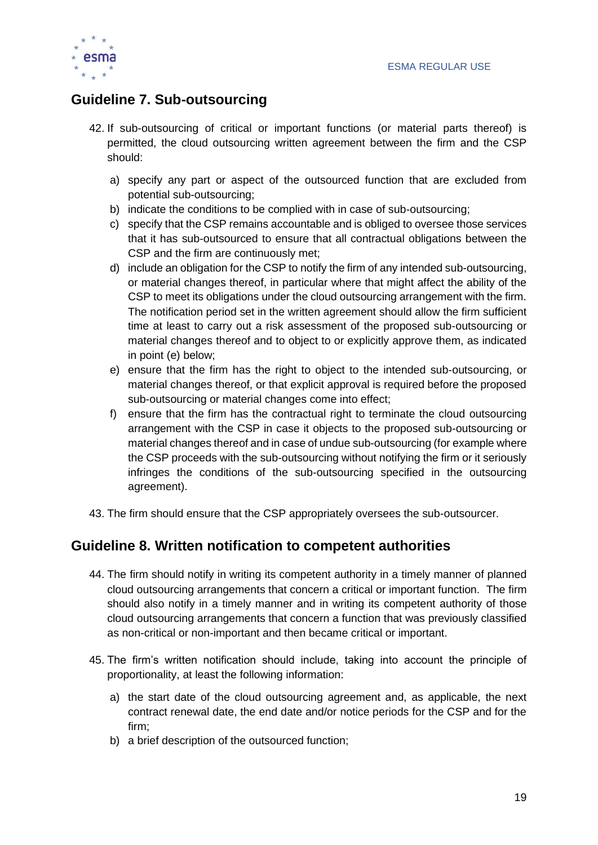

# <span id="page-19-0"></span>**Guideline 7. Sub-outsourcing**

- 42. If sub-outsourcing of critical or important functions (or material parts thereof) is permitted, the cloud outsourcing written agreement between the firm and the CSP should:
	- a) specify any part or aspect of the outsourced function that are excluded from potential sub-outsourcing;
	- b) indicate the conditions to be complied with in case of sub-outsourcing;
	- c) specify that the CSP remains accountable and is obliged to oversee those services that it has sub-outsourced to ensure that all contractual obligations between the CSP and the firm are continuously met;
	- d) include an obligation for the CSP to notify the firm of any intended sub-outsourcing, or material changes thereof, in particular where that might affect the ability of the CSP to meet its obligations under the cloud outsourcing arrangement with the firm. The notification period set in the written agreement should allow the firm sufficient time at least to carry out a risk assessment of the proposed sub-outsourcing or material changes thereof and to object to or explicitly approve them, as indicated in point (e) below;
	- e) ensure that the firm has the right to object to the intended sub-outsourcing, or material changes thereof, or that explicit approval is required before the proposed sub-outsourcing or material changes come into effect;
	- f) ensure that the firm has the contractual right to terminate the cloud outsourcing arrangement with the CSP in case it objects to the proposed sub-outsourcing or material changes thereof and in case of undue sub-outsourcing (for example where the CSP proceeds with the sub-outsourcing without notifying the firm or it seriously infringes the conditions of the sub-outsourcing specified in the outsourcing agreement).
- 43. The firm should ensure that the CSP appropriately oversees the sub-outsourcer.

### <span id="page-19-1"></span>**Guideline 8. Written notification to competent authorities**

- 44. The firm should notify in writing its competent authority in a timely manner of planned cloud outsourcing arrangements that concern a critical or important function. The firm should also notify in a timely manner and in writing its competent authority of those cloud outsourcing arrangements that concern a function that was previously classified as non-critical or non-important and then became critical or important.
- 45. The firm's written notification should include, taking into account the principle of proportionality, at least the following information:
	- a) the start date of the cloud outsourcing agreement and, as applicable, the next contract renewal date, the end date and/or notice periods for the CSP and for the firm;
	- b) a brief description of the outsourced function;